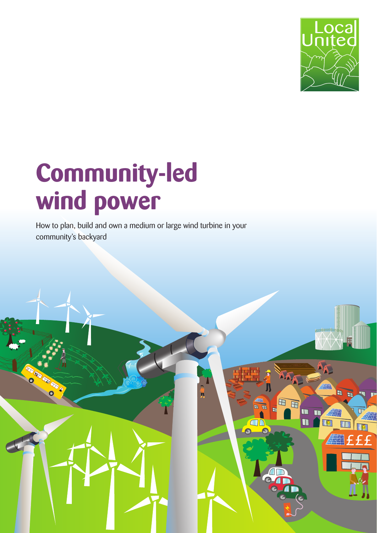

# **Community-led wind power**

How to plan, build and own a medium or large wind turbine in your community's backyard

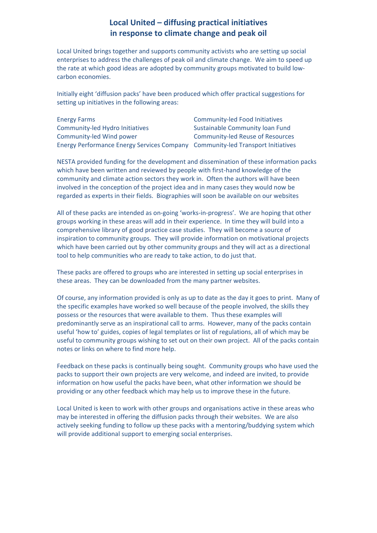# Local United - diffusing practical initiatives in response to climate change and peak oil

Local United brings together and supports community activists who are setting up social enterprises to address the challenges of peak oil and climate change. We aim to speed up the rate at which good ideas are adopted by community groups motivated to build lowcarbon economies.

Initially eight 'diffusion packs' have been produced which offer practical suggestions for setting up initiatives in the following areas:

| <b>Energy Farms</b>                                                            | <b>Community-led Food Initiatives</b>   |
|--------------------------------------------------------------------------------|-----------------------------------------|
| Community-led Hydro Initiatives                                                | Sustainable Community Ioan Fund         |
| Community-led Wind power                                                       | <b>Community-led Reuse of Resources</b> |
| Energy Performance Energy Services Company Community-led Transport Initiatives |                                         |

NESTA provided funding for the development and dissemination of these information packs which have been written and reviewed by people with first-hand knowledge of the community and climate action sectors they work in. Often the authors will have been involved in the conception of the project idea and in many cases they would now be regarded as experts in their fields. Biographies will soon be available on our websites

All of these packs are intended as on-going 'works-in-progress'. We are hoping that other groups working in these areas will add in their experience. In time they will build into a comprehensive library of good practice case studies. They will become a source of inspiration to community groups. They will provide information on motivational projects which have been carried out by other community groups and they will act as a directional tool to help communities who are ready to take action, to do just that.

These packs are offered to groups who are interested in setting up social enterprises in these areas. They can be downloaded from the many partner websites.

Of course, any information provided is only as up to date as the day it goes to print. Many of the specific examples have worked so well because of the people involved, the skills they possess or the resources that were available to them. Thus these examples will predominantly serve as an inspirational call to arms. However, many of the packs contain useful 'how to' guides, copies of legal templates or list of regulations, all of which may be useful to community groups wishing to set out on their own project. All of the packs contain notes or links on where to find more help.

Feedback on these packs is continually being sought. Community groups who have used the packs to support their own projects are very welcome, and indeed are invited, to provide information on how useful the packs have been, what other information we should be providing or any other feedback which may help us to improve these in the future.

Local United is keen to work with other groups and organisations active in these areas who may be interested in offering the diffusion packs through their websites. We are also actively seeking funding to follow up these packs with a mentoring/buddying system which will provide additional support to emerging social enterprises.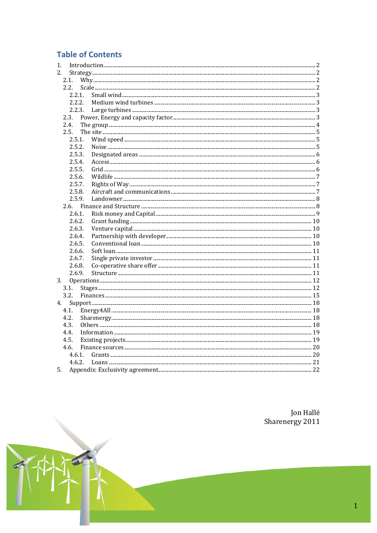# **Table of Contents**

| 1.   |        |  |
|------|--------|--|
| 2.   |        |  |
| 2.1. |        |  |
| 2.2. |        |  |
|      | 2.2.1. |  |
|      | 2.2.2. |  |
|      | 2.2.3. |  |
|      | 2.3.   |  |
|      | 2.4.   |  |
|      | 2.5.   |  |
|      | 2.5.1. |  |
|      | 2.5.2. |  |
|      | 2.5.3. |  |
|      | 2.5.4. |  |
|      | 2.5.5. |  |
|      | 2.5.6. |  |
|      | 2.5.7. |  |
|      | 2.5.8. |  |
|      | 2.5.9. |  |
|      | 2.6.   |  |
|      | 2.6.1. |  |
|      | 2.6.2. |  |
|      | 2.6.3. |  |
|      | 2.6.4. |  |
|      | 2.6.5. |  |
|      | 2.6.6. |  |
|      | 2.6.7. |  |
|      | 2.6.8. |  |
|      | 2.6.9. |  |
| 3.   |        |  |
|      | 3.1.   |  |
| 3.2. |        |  |
| 4.   |        |  |
| 4.1. |        |  |
| 4.2. |        |  |
| 4.3. |        |  |
| 4.4. |        |  |
| 4.5. |        |  |
| 4.6. |        |  |
|      | 4.6.1. |  |
|      | 4.6.2. |  |
| 5.   |        |  |

Jon Hallé<br>Sharenergy 2011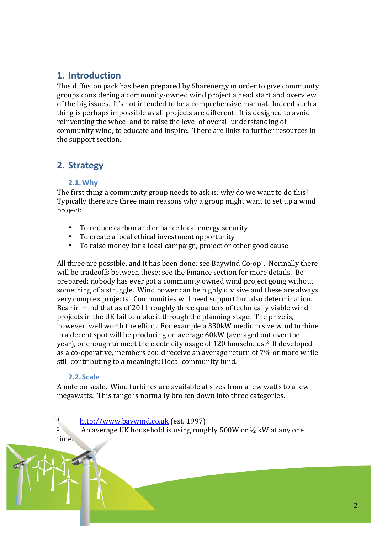# 1. Introduction

This diffusion pack has been prepared by Sharenergy in order to give community groups considering a community-owned wind project a head start and overview of the big issues. It's not intended to be a comprehensive manual. Indeed such a thing is perhaps impossible as all projects are different. It is designed to avoid reinventing the wheel and to raise the level of overall understanding of community wind, to educate and inspire. There are links to further resources in the support section.

# 2. Strategy

# 2.1. Why

The first thing a community group needs to ask is: why do we want to do this? Typically there are three main reasons why a group might want to set up a wind project:

- To reduce carbon and enhance local energy security
- To create a local ethical investment opportunity
- To raise money for a local campaign, project or other good cause

All three are possible, and it has been done: see Baywind Co-op<sup>1</sup>. Normally there will be tradeoffs between these: see the Finance section for more details. Be prepared: nobody has ever got a community owned wind project going without something of a struggle. Wind power can be highly divisive and these are always very complex projects. Communities will need support but also determination. Bear in mind that as of 2011 roughly three quarters of technically viable wind projects in the UK fail to make it through the planning stage. The prize is, however, well worth the effort. For example a 330kW medium size wind turbine in a decent spot will be producing on average 60kW (averaged out over the year), or enough to meet the electricity usage of 120 households.<sup>2</sup> If developed as a co-operative, members could receive an average return of 7% or more while still contributing to a meaningful local community fund.

# 2.2. Scale

 $\overline{1}$ 

 $2^{\circ}$ 

A note on scale. Wind turbines are available at sizes from a few watts to a few megawatts. This range is normally broken down into three categories.

http://www.baywind.co.uk (est. 1997)

An average UK household is using roughly 500W or 1/2 kW at any one time.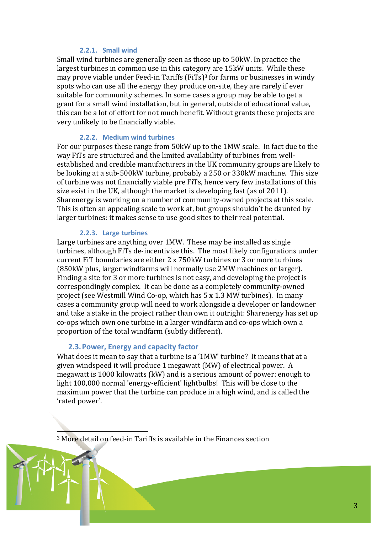# 2.2.1. Small wind

Small wind turbines are generally seen as those up to 50kW. In practice the largest turbines in common use in this category are 15kW units. While these may prove viable under Feed-in Tariffs (FiTs)<sup>3</sup> for farms or businesses in windy spots who can use all the energy they produce on-site, they are rarely if ever suitable for community schemes. In some cases a group may be able to get a grant for a small wind installation, but in general, outside of educational value, this can be a lot of effort for not much benefit. Without grants these projects are very unlikely to be financially viable.

#### 2.2.2. Medium wind turbines

For our purposes these range from 50kW up to the 1MW scale. In fact due to the way FiTs are structured and the limited availability of turbines from wellestablished and credible manufacturers in the UK community groups are likely to be looking at a sub-500kW turbine, probably a 250 or 330kW machine. This size of turbine was not financially viable pre FiTs, hence very few installations of this size exist in the UK, although the market is developing fast (as of 2011). Sharenergy is working on a number of community-owned projects at this scale. This is often an appealing scale to work at, but groups shouldn't be daunted by larger turbines: it makes sense to use good sites to their real potential.

#### 2.2.3. Large turbines

Large turbines are anything over 1MW. These may be installed as single turbines, although FiTs de-incentivise this. The most likely configurations under current FiT boundaries are either 2 x 750kW turbines or 3 or more turbines (850 kW plus, larger windfarms will normally use 2MW machines or larger). Finding a site for 3 or more turbines is not easy, and developing the project is correspondingly complex. It can be done as a completely community-owned project (see Westmill Wind Co-op, which has 5 x 1.3 MW turbines). In many cases a community group will need to work alongside a developer or landowner and take a stake in the project rather than own it outright: Sharenergy has set up co-ops which own one turbine in a larger windfarm and co-ops which own a proportion of the total windfarm (subtly different).

#### 2.3. Power, Energy and capacity factor

What does it mean to say that a turbine is a '1MW' turbine? It means that at a given windspeed it will produce 1 megawatt (MW) of electrical power. A megawatt is 1000 kilowatts (kW) and is a serious amount of power: enough to light 100,000 normal 'energy-efficient' lightbulbs! This will be close to the maximum power that the turbine can produce in a high wind, and is called the 'rated power'.

<sup>3</sup> More detail on feed-in Tariffs is available in the Finances section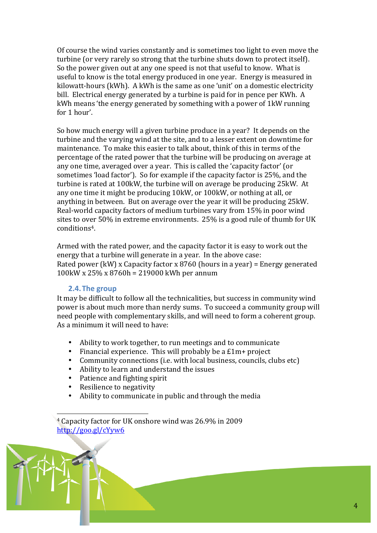Of course the wind varies constantly and is sometimes too light to even move the turbine (or very rarely so strong that the turbine shuts down to protect itself). So the power given out at any one speed is not that useful to know. What is useful to know is the total energy produced in one year. Energy is measured in kilowatt-hours (kWh). A kWh is the same as one 'unit' on a domestic electricity bill. Electrical energy generated by a turbine is paid for in pence per KWh. A kWh means 'the energy generated by something with a power of 1kW running for 1 hour'.

So how much energy will a given turbine produce in a year? It depends on the turbine and the varying wind at the site, and to a lesser extent on downtime for maintenance. To make this easier to talk about, think of this in terms of the percentage of the rated power that the turbine will be producing on average at any one time, averaged over a year. This is called the 'capacity factor' (or sometimes 'load factor'). So for example if the capacity factor is 25%, and the turbine is rated at 100kW, the turbine will on average be producing 25kW. At any one time it might be producing 10kW, or 100kW, or nothing at all, or anything in between. But on average over the year it will be producing 25kW. Real-world capacity factors of medium turbines vary from 15% in poor wind sites to over 50% in extreme environments. 25% is a good rule of thumb for UK conditions<sup>4</sup>

Armed with the rated power, and the capacity factor it is easy to work out the energy that a turbine will generate in a year. In the above case: Rated power (kW) x Capacity factor x 8760 (hours in a year) = Energy generated  $100$ kW x 25% x 8760h = 219000 kWh per annum

# 2.4. The group

It may be difficult to follow all the technicalities, but success in community wind power is about much more than nerdy sums. To succeed a community group will need people with complementary skills, and will need to form a coherent group. As a minimum it will need to have:

- Ability to work together, to run meetings and to communicate
- $\bullet$ Financial experience. This will probably be a £1m+ project
- $\bullet$ Community connections (i.e. with local business, councils, clubs etc)
- Ability to learn and understand the issues
- $\bullet$  . Patience and fighting spirit
- $\bullet$ Resilience to negativity
- Ability to communicate in public and through the media

<sup>4</sup> Capacity factor for UK onshore wind was 26.9% in 2009  $http://goo.gl/cYvw6$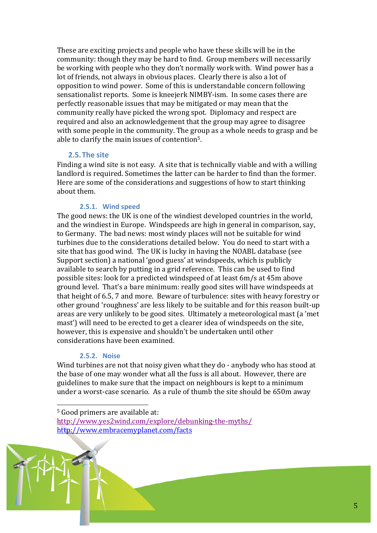These are exciting projects and people who have these skills will be in the community: though they may be hard to find. Group members will necessarily be working with people who they don't normally work with. Wind power has a lot of friends, not always in obvious places. Clearly there is also a lot of opposition to wind power. Some of this is understandable concern following sensationalist reports. Some is kneejerk NIMBY-ism. In some cases there are perfectly reasonable issues that may be mitigated or may mean that the community really have picked the wrong spot. Diplomacy and respect are required and also an acknowledgement that the group may agree to disagree with some people in the community. The group as a whole needs to grasp and be able to clarify the main issues of contention<sup>5</sup>.

#### 2.5. The site

Finding a wind site is not easy. A site that is technically viable and with a willing landlord is required. Sometimes the latter can be harder to find than the former. Here are some of the considerations and suggestions of how to start thinking about them.

# 2.5.1. Wind speed

The good news: the UK is one of the windiest developed countries in the world, and the windiest in Europe. Windspeeds are high in general in comparison, say, to Germany. The bad news: most windy places will not be suitable for wind turbines due to the considerations detailed below. You do need to start with a site that has good wind. The UK is lucky in having the NOABL database (see Support section) a national 'good guess' at windspeeds, which is publicly available to search by putting in a grid reference. This can be used to find possible sites: look for a predicted windspeed of at least 6m/s at 45m above ground level. That's a bare minimum: really good sites will have windspeeds at that height of 6.5, 7 and more. Beware of turbulence: sites with heavy forestry or other ground 'roughness' are less likely to be suitable and for this reason built-up areas are very unlikely to be good sites. Ultimately a meteorological mast (a 'met mast') will need to be erected to get a clearer idea of windspeeds on the site. however, this is expensive and shouldn't be undertaken until other considerations have been examined.

#### 2.5.2. Noise

Wind turbines are not that noisy given what they do - anybody who has stood at the base of one may wonder what all the fuss is all about. However, there are guidelines to make sure that the impact on neighbours is kept to a minimum under a worst-case scenario. As a rule of thumb the site should be 650m away



<sup>&</sup>lt;sup>5</sup> Good primers are available at:

http://www.yes2wind.com/explore/debunking-the-myths/ http://www.embracemyplanet.com/facts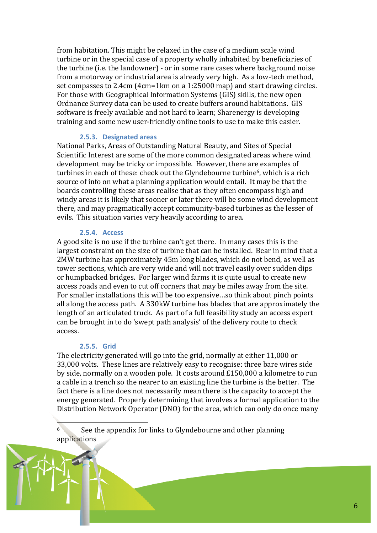from habitation. This might be relaxed in the case of a medium scale wind turbine or in the special case of a property wholly inhabited by beneficiaries of the turbine (i.e. the landowner) - or in some rare cases where background noise from a motorway or industrial area is already very high. As a low-tech method, set compasses to 2.4cm (4cm=1km on a 1:25000 map) and start drawing circles. For those with Geographical Information Systems (GIS) skills, the new open Ordnance Survey data can be used to create buffers around habitations. GIS software is freely available and not hard to learn; Sharenergy is developing training and some new user-friendly online tools to use to make this easier.

#### 2.5.3. Designated areas

National Parks, Areas of Outstanding Natural Beauty, and Sites of Special Scientific Interest are some of the more common designated areas where wind development may be tricky or impossible. However, there are examples of turbines in each of these: check out the Glyndebourne turbine<sup>6</sup>, which is a rich source of info on what a planning application would entail. It may be that the boards controlling these areas realise that as they often encompass high and windy areas it is likely that sooner or later there will be some wind development there, and may pragmatically accept community-based turbines as the lesser of evils. This situation varies very heavily according to area.

#### **2.5.4. Access**

A good site is no use if the turbine can't get there. In many cases this is the largest constraint on the size of turbine that can be installed. Bear in mind that a 2MW turbine has approximately 45m long blades, which do not bend, as well as tower sections, which are very wide and will not travel easily over sudden dips or humpbacked bridges. For larger wind farms it is quite usual to create new access roads and even to cut off corners that may be miles away from the site. For smaller installations this will be too expensive...so think about pinch points all along the access path. A 330kW turbine has blades that are approximately the length of an articulated truck. As part of a full feasibility study an access expert can be brought in to do 'swept path analysis' of the delivery route to check access.

#### 2.5.5. Grid

The electricity generated will go into the grid, normally at either 11,000 or 33,000 volts. These lines are relatively easy to recognise: three bare wires side by side, normally on a wooden pole. It costs around £150,000 a kilometre to run a cable in a trench so the nearer to an existing line the turbine is the better. The fact there is a line does not necessarily mean there is the capacity to accept the energy generated. Properly determining that involves a formal application to the Distribution Network Operator (DNO) for the area, which can only do once many

 $6<sup>1</sup>$ See the appendix for links to Glyndebourne and other planning applications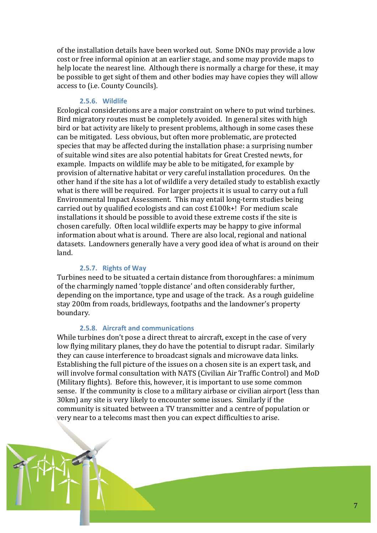of the installation details have been worked out. Some DNOs may provide a low cost or free informal opinion at an earlier stage, and some may provide maps to help locate the nearest line. Although there is normally a charge for these, it may be possible to get sight of them and other bodies may have copies they will allow access to (i.e. County Councils).

#### 2.5.6. Wildlife

Ecological considerations are a major constraint on where to put wind turbines. Bird migratory routes must be completely avoided. In general sites with high bird or bat activity are likely to present problems, although in some cases these can be mitigated. Less obvious, but often more problematic, are protected species that may be affected during the installation phase: a surprising number of suitable wind sites are also potential habitats for Great Crested newts, for example. Impacts on wildlife may be able to be mitigated, for example by provision of alternative habitat or very careful installation procedures. On the other hand if the site has a lot of wildlife a very detailed study to establish exactly what is there will be required. For larger projects it is usual to carry out a full Environmental Impact Assessment. This may entail long-term studies being carried out by qualified ecologists and can cost £100k+! For medium scale installations it should be possible to avoid these extreme costs if the site is chosen carefully. Often local wildlife experts may be happy to give informal information about what is around. There are also local, regional and national datasets. Landowners generally have a very good idea of what is around on their land.

#### 2.5.7. Rights of Way

Turbines need to be situated a certain distance from thoroughfares: a minimum of the charmingly named 'topple distance' and often considerably further, depending on the importance, type and usage of the track. As a rough guideline stay 200m from roads, bridleways, footpaths and the landowner's property boundary.

#### 2.5.8. Aircraft and communications

While turbines don't pose a direct threat to aircraft, except in the case of very low flying military planes, they do have the potential to disrupt radar. Similarly they can cause interference to broadcast signals and microwave data links. Establishing the full picture of the issues on a chosen site is an expert task, and will involve formal consultation with NATS (Civilian Air Traffic Control) and MoD (Military flights). Before this, however, it is important to use some common sense. If the community is close to a military airbase or civilian airport (less than 30km) any site is very likely to encounter some issues. Similarly if the community is situated between a TV transmitter and a centre of population or very near to a telecoms mast then you can expect difficulties to arise.

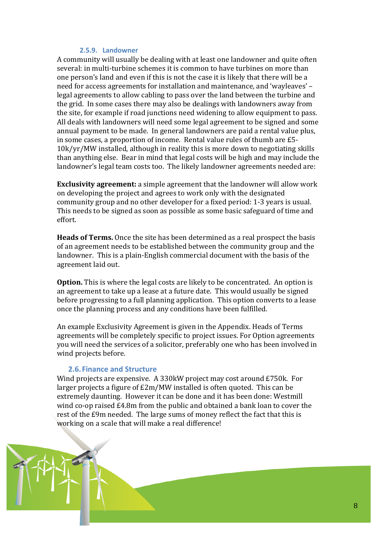## 2.5.9. Landowner

A community will usually be dealing with at least one landowner and quite often several: in multi-turbine schemes it is common to have turbines on more than one person's land and even if this is not the case it is likely that there will be a need for access agreements for installation and maintenance, and 'wayleaves' – legal agreements to allow cabling to pass over the land between the turbine and the grid. In some cases there may also be dealings with landowners away from the site, for example if road junctions need widening to allow equipment to pass. All deals with landowners will need some legal agreement to be signed and some annual payment to be made. In general landowners are paid a rental value plus, in some cases, a proportion of income. Rental value rules of thumb are £5-10k/yr/MW installed, although in reality this is more down to negotiating skills than anything else. Bear in mind that legal costs will be high and may include the landowner's legal team costs too. The likely landowner agreements needed are:

**Exclusivity agreement:** a simple agreement that the landowner will allow work on developing the project and agrees to work only with the designated community group and no other developer for a fixed period: 1-3 years is usual. This needs to be signed as soon as possible as some basic safeguard of time and effort

Heads of Terms. Once the site has been determined as a real prospect the basis of an agreement needs to be established between the community group and the landowner. This is a plain-English commercial document with the basis of the agreement laid out.

**Option.** This is where the legal costs are likely to be concentrated. An option is an agreement to take up a lease at a future date. This would usually be signed before progressing to a full planning application. This option converts to a lease once the planning process and any conditions have been fulfilled.

An example Exclusivity Agreement is given in the Appendix. Heads of Terms agreements will be completely specific to project issues. For Option agreements you will need the services of a solicitor, preferably one who has been involved in wind projects before.

### 2.6. Finance and Structure

Wind projects are expensive. A 330kW project may cost around £750k. For larger projects a figure of £2m/MW installed is often quoted. This can be extremely daunting. However it can be done and it has been done: Westmill wind co-op raised £4.8m from the public and obtained a bank loan to cover the rest of the £9m needed. The large sums of money reflect the fact that this is working on a scale that will make a real difference!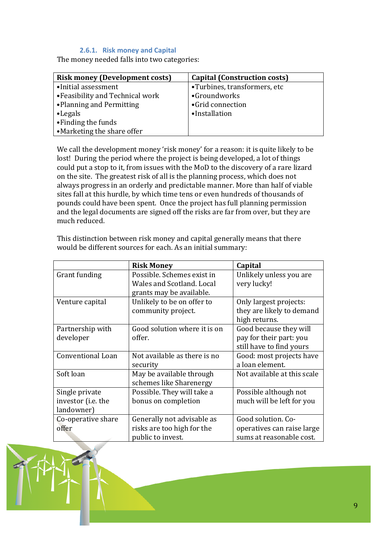# 2.6.1. Risk money and Capital

The money needed falls into two categories:

| <b>Risk money (Development costs)</b> | <b>Capital (Construction costs)</b> |
|---------------------------------------|-------------------------------------|
| •Initial assessment                   | •Turbines, transformers, etc        |
| • Feasibility and Technical work      | •Groundworks                        |
| •Planning and Permitting              | •Grid connection                    |
| $\bullet$ Legals                      | •Installation                       |
| • Finding the funds                   |                                     |
| •Marketing the share offer            |                                     |

We call the development money 'risk money' for a reason: it is quite likely to be lost! During the period where the project is being developed, a lot of things could put a stop to it, from issues with the MoD to the discovery of a rare lizard on the site. The greatest risk of all is the planning process, which does not always progress in an orderly and predictable manner. More than half of viable sites fall at this hurdle, by which time tens or even hundreds of thousands of pounds could have been spent. Once the project has full planning permission and the legal documents are signed off the risks are far from over, but they are much reduced

|                    | <b>Risk Money</b>            | Capital                     |
|--------------------|------------------------------|-----------------------------|
| Grant funding      | Possible. Schemes exist in   | Unlikely unless you are     |
|                    | Wales and Scotland. Local    | very lucky!                 |
|                    | grants may be available.     |                             |
| Venture capital    | Unlikely to be on offer to   | Only largest projects:      |
|                    | community project.           | they are likely to demand   |
|                    |                              | high returns.               |
| Partnership with   | Good solution where it is on | Good because they will      |
| developer          | offer.                       | pay for their part: you     |
|                    |                              | still have to find yours    |
| Conventional Loan  | Not available as there is no | Good: most projects have    |
|                    | security                     | a loan element.             |
| Soft loan          | May be available through     | Not available at this scale |
|                    | schemes like Sharenergy      |                             |
| Single private     | Possible. They will take a   | Possible although not       |
| investor (i.e. the | bonus on completion          | much will be left for you   |
| landowner)         |                              |                             |
| Co-operative share | Generally not advisable as   | Good solution. Co-          |
| offer              | risks are too high for the   | operatives can raise large  |
|                    | public to invest.            | sums at reasonable cost.    |

This distinction between risk money and capital generally means that there would be different sources for each. As an initial summary: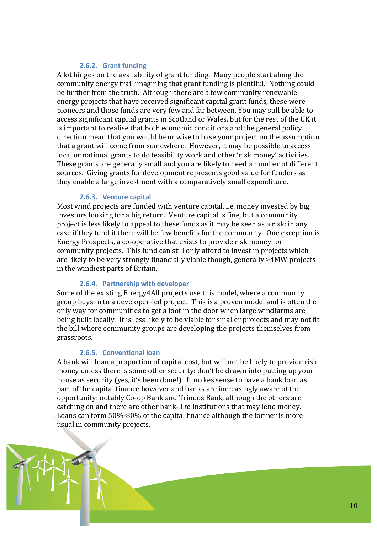## 2.6.2. Grant funding

A lot hinges on the availability of grant funding. Many people start along the community energy trail imagining that grant funding is plentiful. Nothing could be further from the truth. Although there are a few community renewable energy projects that have received significant capital grant funds, these were pioneers and those funds are very few and far between. You may still be able to access significant capital grants in Scotland or Wales, but for the rest of the UK it is important to realise that both economic conditions and the general policy direction mean that you would be unwise to base your project on the assumption that a grant will come from somewhere. However, it may be possible to access local or national grants to do feasibility work and other 'risk money' activities. These grants are generally small and you are likely to need a number of different sources. Giving grants for development represents good value for funders as they enable a large investment with a comparatively small expenditure.

### 2.6.3. Venture capital

Most wind projects are funded with venture capital, i.e. money invested by big investors looking for a big return. Venture capital is fine, but a community project is less likely to appeal to these funds as it may be seen as a risk: in any case if they fund it there will be few benefits for the community. One exception is Energy Prospects, a co-operative that exists to provide risk money for community projects. This fund can still only afford to invest in projects which are likely to be very strongly financially viable though, generally >4MW projects in the windiest parts of Britain.

#### 2.6.4. Partnership with developer

Some of the existing Energy4All projects use this model, where a community group buys in to a developer-led project. This is a proven model and is often the only way for communities to get a foot in the door when large windfarms are being built locally. It is less likely to be viable for smaller projects and may not fit the bill where community groups are developing the projects themselves from grassroots.

#### 2.6.5. Conventional loan

A bank will loan a proportion of capital cost, but will not be likely to provide risk money unless there is some other security: don't be drawn into putting up vour house as security (yes, it's been done!). It makes sense to have a bank loan as part of the capital finance however and banks are increasingly aware of the opportunity: notably Co-op Bank and Triodos Bank, although the others are catching on and there are other bank-like institutions that may lend money. Loans can form 50%-80% of the capital finance although the former is more usual in community projects.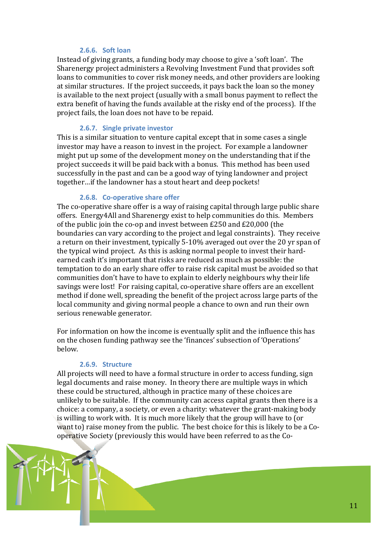## $2.6.6.$  Soft loan

Instead of giving grants, a funding body may choose to give a 'soft loan'. The Sharenergy project administers a Revolving Investment Fund that provides soft loans to communities to cover risk money needs, and other providers are looking at similar structures. If the project succeeds, it pays back the loan so the money is available to the next project (usually with a small bonus payment to reflect the extra benefit of having the funds available at the risky end of the process). If the project fails, the loan does not have to be repaid.

### 2.6.7. Single private investor

This is a similar situation to venture capital except that in some cases a single investor may have a reason to invest in the project. For example a landowner might put up some of the development money on the understanding that if the project succeeds it will be paid back with a bonus. This method has been used successfully in the past and can be a good way of tying landowner and project together...if the landowner has a stout heart and deep pockets!

### 2.6.8. Co-operative share offer

The co-operative share offer is a way of raising capital through large public share offers. Energy4All and Sharenergy exist to help communities do this. Members of the public join the co-op and invest between £250 and £20,000 (the boundaries can vary according to the project and legal constraints). They receive a return on their investment, typically 5-10% averaged out over the 20 yr span of the typical wind project. As this is asking normal people to invest their hardearned cash it's important that risks are reduced as much as possible: the temptation to do an early share offer to raise risk capital must be avoided so that communities don't have to have to explain to elderly neighbours why their life savings were lost! For raising capital, co-operative share offers are an excellent method if done well, spreading the benefit of the project across large parts of the local community and giving normal people a chance to own and run their own serious renewable generator.

For information on how the income is eventually split and the influence this has on the chosen funding pathway see the 'finances' subsection of 'Operations' below.

#### 2.6.9. Structure

All projects will need to have a formal structure in order to access funding, sign legal documents and raise money. In theory there are multiple ways in which these could be structured, although in practice many of these choices are unlikely to be suitable. If the community can access capital grants then there is a choice: a company, a society, or even a charity: whatever the grant-making body is willing to work with. It is much more likely that the group will have to (or want to) raise money from the public. The best choice for this is likely to be a Cooperative Society (previously this would have been referred to as the Co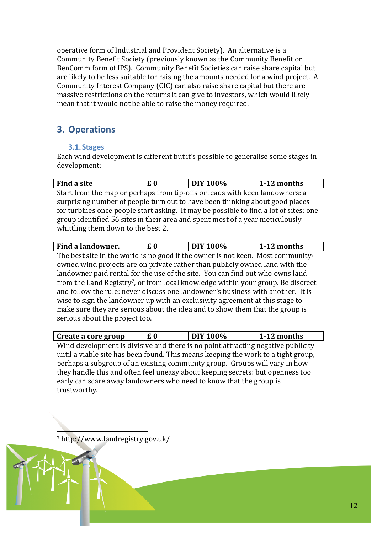operative form of Industrial and Provident Society). An alternative is a Community Benefit Society (previously known as the Community Benefit or BenComm form of IPS). Community Benefit Societies can raise share capital but are likely to be less suitable for raising the amounts needed for a wind project. A Community Interest Company (CIC) can also raise share capital but there are massive restrictions on the returns it can give to investors, which would likely mean that it would not be able to raise the money required.

# 3. Operations

# 3.1. Stages

Each wind development is different but it's possible to generalise some stages in development:

| Find a site                                                                           | £0 | DIY 100% | $1-12$ months |  |
|---------------------------------------------------------------------------------------|----|----------|---------------|--|
| Start from the map or perhaps from tip-offs or leads with keen landowners: a          |    |          |               |  |
| surprising number of people turn out to have been thinking about good places          |    |          |               |  |
| for turbines once people start asking. It may be possible to find a lot of sites: one |    |          |               |  |
| group identified 56 sites in their area and spent most of a year meticulously         |    |          |               |  |
| whittling them down to the best 2.                                                    |    |          |               |  |

| Find a landowner. |  | <b>DIY 100%</b> | 1-12 months |
|-------------------|--|-----------------|-------------|
|-------------------|--|-----------------|-------------|

The best site in the world is no good if the owner is not keen. Most communityowned wind projects are on private rather than publicly owned land with the landowner paid rental for the use of the site. You can find out who owns land from the Land Registry<sup>7</sup>, or from local knowledge within your group. Be discreet and follow the rule: never discuss one landowner's business with another. It is wise to sign the landowner up with an exclusivity agreement at this stage to make sure they are serious about the idea and to show them that the group is serious about the project too.

| Create a core group | £0 | DIY 100% | 1-12 months |
|---------------------|----|----------|-------------|
|---------------------|----|----------|-------------|

Wind development is divisive and there is no point attracting negative publicity until a viable site has been found. This means keeping the work to a tight group, perhaps a subgroup of an existing community group. Groups will vary in how they handle this and often feel uneasy about keeping secrets: but openness too early can scare away landowners who need to know that the group is trustworthy.

7 http://www.landregistry.gov.uk/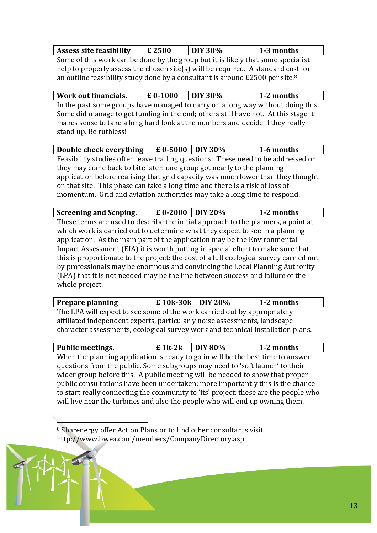| Assess site feasibility   $\boldsymbol{\epsilon}$ 2500                                                         |  | $\overline{1}$ DIY 30% | $1-3$ months |  |  |
|----------------------------------------------------------------------------------------------------------------|--|------------------------|--------------|--|--|
| . As a conflict of a start of the decided to the control of the Plate of the concert of the control of the con |  |                        |              |  |  |

Some of this work can be done by the group but it is likely that some specialist help to properly assess the chosen site(s) will be required. A standard cost for an outline feasibility study done by a consultant is around £2500 per site.<sup>8</sup>

| Work out financials.                                                               | $£ 0-1000$ | $\overline{DIV}$ 30% | $1-2$ months |  |  |
|------------------------------------------------------------------------------------|------------|----------------------|--------------|--|--|
| In the past some groups have managed to carry on a long way without doing this.    |            |                      |              |  |  |
| Some did manage to get funding in the end; others still have not. At this stage it |            |                      |              |  |  |
| makes sense to take a long hard look at the numbers and decide if they really      |            |                      |              |  |  |
| stand up. Be ruthless!                                                             |            |                      |              |  |  |

| Double check everything $\left  E 0.5000 \right $ DIY 30%                         |  |  | 1-6 months |  |
|-----------------------------------------------------------------------------------|--|--|------------|--|
| Feasibility studies often leave trailing questions. These need to be addressed or |  |  |            |  |
| they may come back to bite later: one group got nearly to the planning            |  |  |            |  |
| application before realising that grid capacity was much lower than they thought  |  |  |            |  |
| on that site. This phase can take a long time and there is a risk of loss of      |  |  |            |  |
| momentum. Grid and aviation authorities may take a long time to respond.          |  |  |            |  |

| <b>Screening and Scoping.</b> | $\pm 0.2000$ DIY 20% |  | $1-2$ months |
|-------------------------------|----------------------|--|--------------|
|-------------------------------|----------------------|--|--------------|

These terms are used to describe the initial approach to the planners, a point at which work is carried out to determine what they expect to see in a planning application. As the main part of the application may be the Environmental Impact Assessment (EIA) it is worth putting in special effort to make sure that this is proportionate to the project: the cost of a full ecological survey carried out by professionals may be enormous and convincing the Local Planning Authority (LPA) that it is not needed may be the line between success and failure of the whole project.

| <b>Prepare planning</b>                                                         | £ 10k-30k DIY 20% |  | 1-2 months |  |
|---------------------------------------------------------------------------------|-------------------|--|------------|--|
| The LPA will expect to see some of the work carried out by appropriately        |                   |  |            |  |
| affiliated independent experts, particularly noise assessments, landscape       |                   |  |            |  |
| character assessments, ecological survey work and technical installation plans. |                   |  |            |  |

| <b>Public meetings.</b>                                                             | $£$ 1k-2k | $\overline{D}$ IY 80% | 1-2 months |  |  |
|-------------------------------------------------------------------------------------|-----------|-----------------------|------------|--|--|
| When the planning application is ready to go in will be the best time to answer     |           |                       |            |  |  |
| questions from the public. Some subgroups may need to 'soft launch' to their        |           |                       |            |  |  |
| wider group before this. A public meeting will be needed to show that proper        |           |                       |            |  |  |
| public consultations have been undertaken: more importantly this is the chance      |           |                       |            |  |  |
| to start really connecting the community to 'its' project: these are the people who |           |                       |            |  |  |
| will live near the turbines and also the people who will end up owning them.        |           |                       |            |  |  |

<sup>8</sup> Sharenergy offer Action Plans or to find other consultants visit http://www.bwea.com/members/CompanyDirectory.asp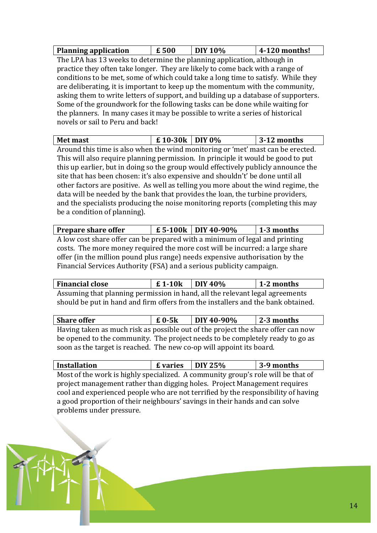| <b>Planning application</b> | £500 | DIY 10% | $\vert$ 4-120 months! |
|-----------------------------|------|---------|-----------------------|

The LPA has 13 weeks to determine the planning application, although in practice they often take longer. They are likely to come back with a range of conditions to be met, some of which could take a long time to satisfy. While they are deliberating, it is important to keep up the momentum with the community, asking them to write letters of support, and building up a database of supporters. Some of the groundwork for the following tasks can be done while waiting for the planners. In many cases it may be possible to write a series of historical novels or sail to Peru and back!

| <b>Met mast</b> | £10-30k<br>$\vert$ DIY 0% | $3-12$<br>months |
|-----------------|---------------------------|------------------|
|-----------------|---------------------------|------------------|

Around this time is also when the wind monitoring or 'met' mast can be erected. This will also require planning permission. In principle it would be good to put this up earlier, but in doing so the group would effectively publicly announce the site that has been chosen: it's also expensive and shouldn't' be done until all other factors are positive. As well as telling you more about the wind regime, the data will be needed by the bank that provides the loan, the turbine providers, and the specialists producing the noise monitoring reports (completing this may be a condition of planning).

| <b>Prepare share offer</b>                                                   |  | $E$ 5-100k   DIY 40-90% | 1-3 months |  |  |
|------------------------------------------------------------------------------|--|-------------------------|------------|--|--|
| A low cost share offer can be prepared with a minimum of legal and printing  |  |                         |            |  |  |
| costs. The more money required the more cost will be incurred: a large share |  |                         |            |  |  |
| offer (in the million pound plus range) needs expensive authorisation by the |  |                         |            |  |  |
| Financial Services Authority (FSA) and a serious publicity campaign.         |  |                         |            |  |  |

| <b>Financial close</b>                                                           | $\pm 1.10k$ DIY 40% |  | 1-2 months |  |  |
|----------------------------------------------------------------------------------|---------------------|--|------------|--|--|
| Assuming that planning permission in hand, all the relevant legal agreements     |                     |  |            |  |  |
| should be put in hand and firm offers from the installers and the bank obtained. |                     |  |            |  |  |

| <b>Share offer</b>                                                               | $\boldsymbol{\epsilon}$ 0-5 $\boldsymbol{k}$ | DIY 40-90% | $\vert$ 2-3 months |  |  |
|----------------------------------------------------------------------------------|----------------------------------------------|------------|--------------------|--|--|
| Having taken as much risk as possible out of the project the share offer can now |                                              |            |                    |  |  |
| be opened to the community. The project needs to be completely ready to go as    |                                              |            |                    |  |  |
| soon as the target is reached. The new co-op will appoint its board.             |                                              |            |                    |  |  |

| <b>Installation</b>                                                               | <b>£</b> varies $\vert$ DIY 25% |  | 3-9 months |  |  |
|-----------------------------------------------------------------------------------|---------------------------------|--|------------|--|--|
| Most of the work is highly specialized. A community group's role will be that of  |                                 |  |            |  |  |
| project management rather than digging holes. Project Management requires         |                                 |  |            |  |  |
| cool and experienced people who are not terrified by the responsibility of having |                                 |  |            |  |  |
| a good proportion of their neighbours' savings in their hands and can solve       |                                 |  |            |  |  |
| problems under pressure.                                                          |                                 |  |            |  |  |

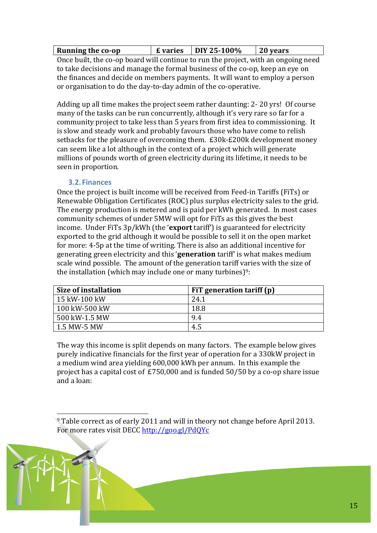| Evaries DIY 25-100\%<br><b>Running the co-op</b> | 20 years |  |
|--------------------------------------------------|----------|--|
|--------------------------------------------------|----------|--|

Once built, the co-op board will continue to run the project, with an ongoing need to take decisions and manage the formal business of the co-op, keep an eve on the finances and decide on members payments. It will want to employ a person or organisation to do the day-to-day admin of the co-operative.

Adding up all time makes the project seem rather daunting: 2-20 yrs! Of course many of the tasks can be run concurrently, although it's very rare so far for a community project to take less than 5 years from first idea to commissioning. It is slow and steady work and probably favours those who have come to relish setbacks for the pleasure of overcoming them. £30k-£200k development money can seem like a lot although in the context of a project which will generate millions of pounds worth of green electricity during its lifetime, it needs to be seen in proportion.

# 3.2. Finances

Once the project is built income will be received from Feed-in Tariffs (FiTs) or Renewable Obligation Certificates (ROC) plus surplus electricity sales to the grid. The energy production is metered and is paid per kWh generated. In most cases community schemes of under 5MW will opt for FiTs as this gives the best income. Under FiTs 3p/kWh (the 'export tariff') is guaranteed for electricity exported to the grid although it would be possible to sell it on the open market for more: 4-5p at the time of writing. There is also an additional incentive for generating green electricity and this 'generation tariff' is what makes medium scale wind possible. The amount of the generation tariff varies with the size of the installation (which may include one or many turbines) $9$ :

| Size of installation | FiT generation tariff (p) |
|----------------------|---------------------------|
| 15 kW-100 kW         | 24.1                      |
| 100 kW-500 kW        | 18.8                      |
| 500 kW-1.5 MW        | 9.4                       |
| 1.5 MW-5 MW          | 4.5                       |

The way this income is split depends on many factors. The example below gives purely indicative financials for the first year of operation for a 330kW project in a medium wind area yielding 600,000 kWh per annum. In this example the project has a capital cost of £750,000 and is funded 50/50 by a co-op share issue and a  $\log$ 

<sup>9</sup> Table correct as of early 2011 and will in theory not change before April 2013. For more rates visit DECC http://goo.gl/PdQYc

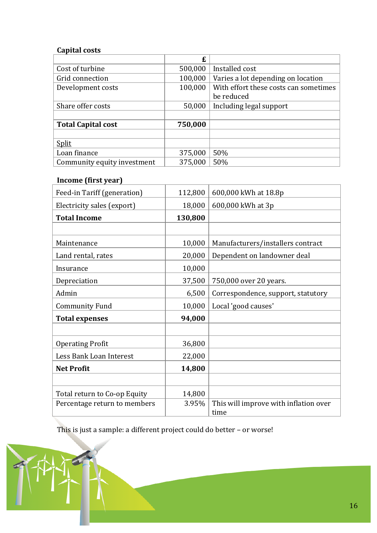# **Capital costs**

|                             | £       |                                       |
|-----------------------------|---------|---------------------------------------|
| Cost of turbine             | 500,000 | Installed cost                        |
| Grid connection             | 100,000 | Varies a lot depending on location    |
| Development costs           | 100,000 | With effort these costs can sometimes |
|                             |         | be reduced                            |
| Share offer costs           | 50,000  | Including legal support               |
|                             |         |                                       |
| <b>Total Capital cost</b>   | 750,000 |                                       |
|                             |         |                                       |
| Split                       |         |                                       |
| Loan finance                | 375,000 | 50%                                   |
| Community equity investment | 375,000 | 50%                                   |

# Income (first year)

| Feed-in Tariff (generation)  | 112,800 | 600,000 kWh at 18.8p                  |
|------------------------------|---------|---------------------------------------|
| Electricity sales (export)   | 18,000  | 600,000 kWh at 3p                     |
| <b>Total Income</b>          | 130,800 |                                       |
|                              |         |                                       |
| Maintenance                  | 10,000  | Manufacturers/installers contract     |
| Land rental, rates           | 20,000  | Dependent on landowner deal           |
| Insurance                    | 10,000  |                                       |
| Depreciation                 | 37,500  | 750,000 over 20 years.                |
| Admin                        | 6,500   | Correspondence, support, statutory    |
| <b>Community Fund</b>        | 10,000  | Local 'good causes'                   |
| <b>Total expenses</b>        | 94,000  |                                       |
|                              |         |                                       |
| <b>Operating Profit</b>      | 36,800  |                                       |
| Less Bank Loan Interest      | 22,000  |                                       |
| <b>Net Profit</b>            | 14,800  |                                       |
|                              |         |                                       |
| Total return to Co-op Equity | 14,800  |                                       |
| Percentage return to members | 3.95%   | This will improve with inflation over |
|                              |         | time                                  |

This is just a sample: a different project could do better - or worse!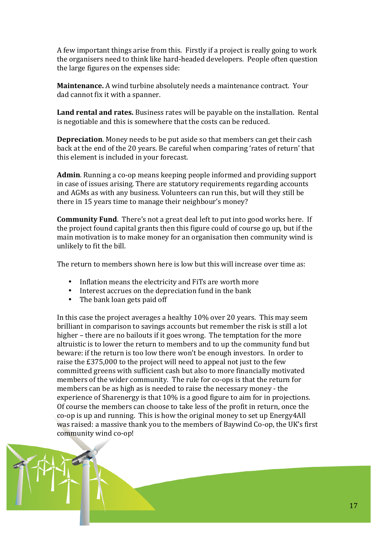A few important things arise from this. Firstly if a project is really going to work the organisers need to think like hard-headed developers. People often question the large figures on the expenses side:

Maintenance. A wind turbine absolutely needs a maintenance contract. Your dad cannot fix it with a spanner.

Land rental and rates. Business rates will be payable on the installation. Rental is negotiable and this is somewhere that the costs can be reduced.

**Depreciation.** Money needs to be put aside so that members can get their cash back at the end of the 20 years. Be careful when comparing 'rates of return' that this element is included in your forecast.

Admin. Running a co-op means keeping people informed and providing support in case of issues arising. There are statutory requirements regarding accounts and AGMs as with any business. Volunteers can run this, but will they still be there in 15 years time to manage their neighbour's money?

**Community Fund.** There's not a great deal left to put into good works here. If the project found capital grants then this figure could of course go up, but if the main motivation is to make money for an organisation then community wind is unlikely to fit the bill.

The return to members shown here is low but this will increase over time as:

- Inflation means the electricity and FiTs are worth more
- Interest accrues on the depreciation fund in the bank
- The bank loan gets paid off  $\bullet$

In this case the project averages a healthy 10% over 20 years. This may seem brilliant in comparison to savings accounts but remember the risk is still a lot higher – there are no bailouts if it goes wrong. The temptation for the more altruistic is to lower the return to members and to up the community fund but beware: if the return is too low there won't be enough investors. In order to raise the £375,000 to the project will need to appeal not just to the few committed greens with sufficient cash but also to more financially motivated members of the wider community. The rule for co-ops is that the return for members can be as high as is needed to raise the necessary money - the experience of Sharenergy is that 10% is a good figure to aim for in projections. Of course the members can choose to take less of the profit in return, once the co-op is up and running. This is how the original money to set up Energy 4All was raised: a massive thank you to the members of Baywind Co-op, the UK's first community wind co-op!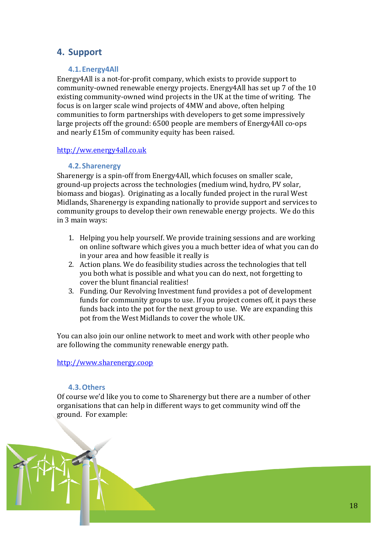# 4. Support

# 4.1. Energy 4All

Energy4All is a not-for-profit company, which exists to provide support to community-owned renewable energy projects. Energy 4All has set up 7 of the 10 existing community-owned wind projects in the UK at the time of writing. The focus is on larger scale wind projects of 4MW and above, often helping communities to form partnerships with developers to get some impressively large projects off the ground: 6500 people are members of Energy4All co-ops and nearly £15m of community equity has been raised.

# http://ww.energy4all.co.uk

# 4.2. Sharenergy

Sharenergy is a spin-off from Energy4All, which focuses on smaller scale, ground-up projects across the technologies (medium wind, hydro, PV solar, biomass and biogas). Originating as a locally funded project in the rural West Midlands, Sharenergy is expanding nationally to provide support and services to community groups to develop their own renewable energy projects. We do this in 3 main ways:

- 1. Helping you help yourself. We provide training sessions and are working on online software which gives you a much better idea of what you can do in your area and how feasible it really is
- 2. Action plans. We do feasibility studies across the technologies that tell you both what is possible and what you can do next, not forgetting to cover the blunt financial realities!
- 3. Funding. Our Revolving Investment fund provides a pot of development funds for community groups to use. If you project comes off, it pays these funds back into the pot for the next group to use. We are expanding this pot from the West Midlands to cover the whole UK.

You can also join our online network to meet and work with other people who are following the community renewable energy path.

http://www.sharenergy.coop

# 4.3. Others

Of course we'd like you to come to Sharenergy but there are a number of other organisations that can help in different ways to get community wind off the ground. For example:

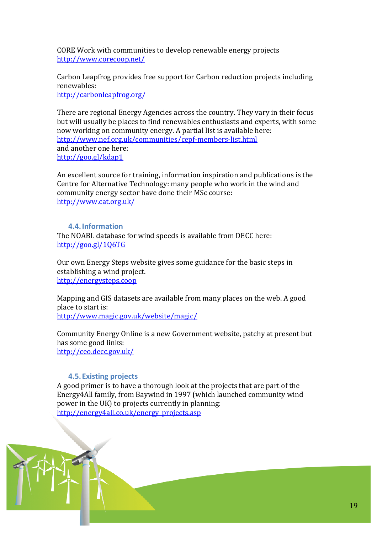CORE Work with communities to develop renewable energy projects http://www.corecoop.net/

Carbon Leapfrog provides free support for Carbon reduction projects including renewables:

http://carbonleapfrog.org/

There are regional Energy Agencies across the country. They vary in their focus but will usually be places to find renewables enthusiasts and experts, with some now working on community energy. A partial list is available here: http://www.nef.org.uk/communities/cepf-members-list.html and another one here: http://goo.gl/kdap1

An excellent source for training, information inspiration and publications is the Centre for Alternative Technology: many people who work in the wind and community energy sector have done their MSc course: http://www.cat.org.uk/

### 4.4. Information

The NOABL database for wind speeds is available from DECC here: http://goo.gl/106TG

Our own Energy Steps website gives some guidance for the basic steps in establishing a wind project. http://energysteps.coop

Mapping and GIS datasets are available from many places on the web. A good place to start is: http://www.magic.gov.uk/website/magic/

Community Energy Online is a new Government website, patchy at present but has some good links: http://ceo.decc.gov.uk/

# **4.5. Existing projects**

A good primer is to have a thorough look at the projects that are part of the Energy4All family, from Baywind in 1997 (which launched community wind power in the UK) to projects currently in planning: http://energy4all.co.uk/energy projects.asp

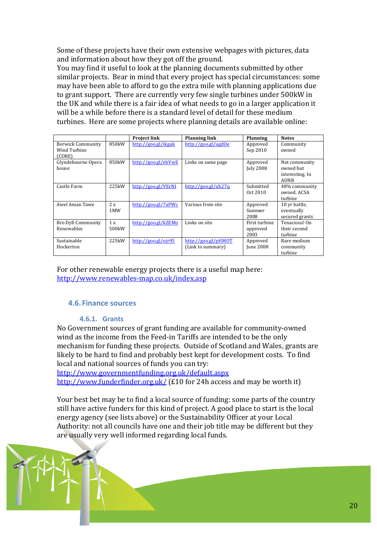Some of these projects have their own extensive webpages with pictures, data and information about how they got off the ground.

You may find it useful to look at the planning documents submitted by other similar projects. Bear in mind that every project has special circumstances: some may have been able to afford to go the extra mile with planning applications due to grant support. There are currently very few single turbines under 500kW in the UK and while there is a fair idea of what needs to go in a larger application it will be a while before there is a standard level of detail for these medium turbines. Here are some projects where planning details are available online:

|                    |                    |                     |                                                     |                  | <b>Notes</b>    |
|--------------------|--------------------|---------------------|-----------------------------------------------------|------------------|-----------------|
|                    |                    | <b>Project link</b> | <b>Planning link</b>                                | <b>Planning</b>  |                 |
| Berwick Community  | 850kW              | http://goo.gl/ikgak | http://goo.gl/ugd0e                                 | Approved         | Community       |
| Wind Turbine       |                    |                     |                                                     | Sep 2010         | owned           |
| (CORE)             |                    |                     |                                                     |                  |                 |
|                    |                    |                     |                                                     |                  |                 |
| Glyndebourne Opera | 850kW              | http://goo.gl/ebVwE | Links on same page                                  | Approved         | Not community   |
| house              |                    |                     |                                                     | <b>July 2008</b> | owned but       |
|                    |                    |                     |                                                     |                  | interesting. In |
|                    |                    |                     |                                                     |                  | <b>AONB</b>     |
| Castle Farm        | 225kW              | http://goo.gl/VErNI | $\frac{http://good.gl/uh27q}{http://good.gl/uh27q}$ | Submitted        | 48% community   |
|                    |                    |                     |                                                     | Oct 2010         | owned. ACSA     |
|                    |                    |                     |                                                     |                  | turbine         |
| Awel Aman Tawe     | 2x                 | http://goo.gl/7aPWc | Various from site                                   | Approved         | 10 yr battle,   |
|                    |                    |                     |                                                     |                  |                 |
|                    | 1MW                |                     |                                                     | Summer           | eventually      |
|                    |                    |                     |                                                     | 2008             | secured grants  |
| Bro Dyfi Community | 1x                 | http://goo.gl/kZEMo | Links on site                                       | First turbine    | Tenacious! On   |
| Renewables         | 500 <sub>k</sub> W |                     |                                                     | approved         | their second    |
|                    |                    |                     |                                                     | 2003             | turbine         |
| Sustainable        | 225kW              | http://goo.gl/ojr95 | http://goo.gI/pHMOT                                 | Approved         | Rare medium     |
| Hockerton          |                    |                     | (Link to summary)                                   | June 2008        | community       |
|                    |                    |                     |                                                     |                  | turbine         |
|                    |                    |                     |                                                     |                  |                 |

For other renewable energy projects there is a useful map here: http://www.renewables-map.co.uk/index.asp

# **4.6. Finance sources**

# **4.6.1. Grants**

No Government sources of grant funding are available for community-owned wind as the income from the Feed-in Tariffs are intended to be the only mechanism for funding these projects. Outside of Scotland and Wales, grants are likely to be hard to find and probably best kept for development costs. To find local and national sources of funds you can try:

http://www.governmentfunding.org.uk/default.aspx http://www.funderfinder.org.uk/ (£10 for 24h access and may be worth it)

Your best bet may be to find a local source of funding: some parts of the country still have active funders for this kind of project. A good place to start is the local energy agency (see lists above) or the Sustainability Officer at your Local Authority: not all councils have one and their job title may be different but they are usually very well informed regarding local funds.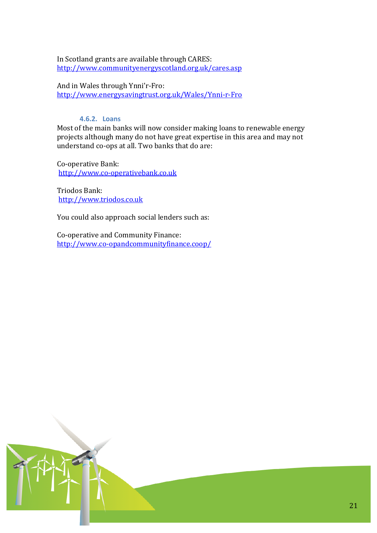In Scotland grants are available through CARES: http://www.communityenergyscotland.org.uk/cares.asp

And in Wales through Ynni'r-Fro: http://www.energysavingtrust.org.uk/Wales/Ynni-r-Fro

# 4.6.2. Loans

Most of the main banks will now consider making loans to renewable energy projects although many do not have great expertise in this area and may not understand co-ops at all. Two banks that do are:

Co-operative Bank: http://www.co-operativebank.co.uk

Triodos Bank: http://www.triodos.co.uk

You could also approach social lenders such as:

Co-operative and Community Finance: http://www.co-opandcommunityfinance.coop/

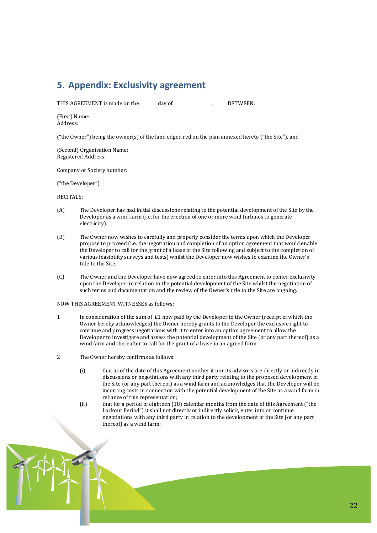# 5. Appendix: Exclusivity agreement

THIS AGREEMENT is made on the

**BETWEEN:** 

(First) Name: Address:

("the Owner") being the owner(s) of the land edged red on the plan annexed hereto ("the Site"), and

day of

(Second) Organisation Name: Registered Address:

Company or Society number:

("the Developer")

#### **RECITALS:**

- $(A)$ The Developer has had initial discussions relating to the potential development of the Site by the Developer as a wind farm (i.e. for the erection of one or more wind turbines to generate electricity).
- $(B)$ The Owner now wishes to carefully and properly consider the terms upon which the Developer propose to proceed (i.e. the negotiation and completion of an option agreement that would enable the Developer to call for the grant of a lease of the Site following and subject to the completion of various feasibility surveys and tests) whilst the Developer now wishes to examine the Owner's title to the Site.
- $(C)$ The Owner and the Developer have now agreed to enter into this Agreement to confer exclusivity upon the Developer in relation to the potential development of the Site whilst the negotiation of such terms and documentation and the review of the Owner's title to the Site are ongoing.

NOW THIS AGREEMENT WITNESSES as follows:

- In consideration of the sum of £1 now paid by the Developer to the Owner (receipt of which the  $\mathbf{1}$ Owner hereby acknowledges) the Owner hereby grants to the Developer the exclusive right to continue and progress negotiations with it to enter into an option agreement to allow the Developer to investigate and assess the potential development of the Site (or any part thereof) as a wind farm and thereafter to call for the grant of a lease in an agreed form.
- $\overline{2}$ The Owner hereby confirms as follows:
	- $(i)$ that as of the date of this Agreement neither it nor its advisors are directly or indirectly in discussions or negotiations with any third party relating to the proposed development of the Site (or any part thereof) as a wind farm and acknowledges that the Developer will be incurring costs in connection with the potential development of the Site as a wind farm in reliance of this representation;
	- that for a period of eighteen (18) calendar months from the date of this Agreement ("the  $(ii)$ Lockout Period") it shall not directly or indirectly solicit, enter into or continue negotiations with any third party in relation to the development of the Site (or any part thereof) as a wind farm;